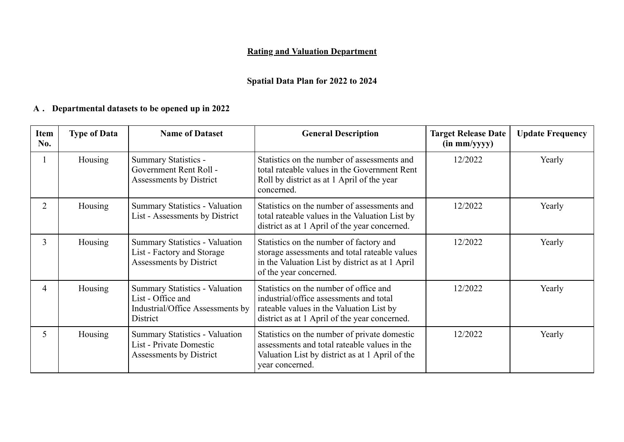## **Rating and Valuation Department**

# **Spatial Data Plan for 2022 to 2024**

#### **Departmental datasets to be opened up in 2022 A .**

| Item<br>No.    | <b>Type of Data</b> | <b>Name of Dataset</b>                                                                                     | <b>General Description</b>                                                                                                                                                     | <b>Target Release Date</b><br>$(in \, mm/yyy)$ | <b>Update Frequency</b> |
|----------------|---------------------|------------------------------------------------------------------------------------------------------------|--------------------------------------------------------------------------------------------------------------------------------------------------------------------------------|------------------------------------------------|-------------------------|
|                | Housing             | Summary Statistics -<br>Government Rent Roll -<br>Assessments by District                                  | Statistics on the number of assessments and<br>total rateable values in the Government Rent<br>Roll by district as at 1 April of the year<br>concerned.                        | 12/2022                                        | Yearly                  |
| $\overline{2}$ | Housing             | <b>Summary Statistics - Valuation</b><br>List - Assessments by District                                    | Statistics on the number of assessments and<br>total rateable values in the Valuation List by<br>district as at 1 April of the year concerned.                                 | 12/2022                                        | Yearly                  |
| 3              | Housing             | Summary Statistics - Valuation<br>List - Factory and Storage<br>Assessments by District                    | Statistics on the number of factory and<br>storage assessments and total rateable values<br>in the Valuation List by district as at 1 April<br>of the year concerned.          | 12/2022                                        | Yearly                  |
| 4              | Housing             | <b>Summary Statistics - Valuation</b><br>List - Office and<br>Industrial/Office Assessments by<br>District | Statistics on the number of office and<br>industrial/office assessments and total<br>rateable values in the Valuation List by<br>district as at 1 April of the year concerned. | 12/2022                                        | Yearly                  |
| 5              | Housing             | <b>Summary Statistics - Valuation</b><br>List - Private Domestic<br>Assessments by District                | Statistics on the number of private domestic<br>assessments and total rateable values in the<br>Valuation List by district as at 1 April of the<br>year concerned.             | 12/2022                                        | Yearly                  |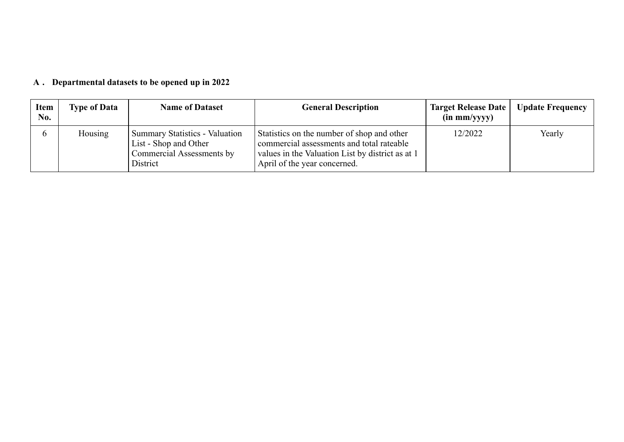#### **Departmental datasets to be opened up in 2022 A .**

| <b>Item</b><br>No. | <b>Type of Data</b> | <b>Name of Dataset</b>                                                                                  | <b>General Description</b>                                                                                                                                                  | <b>Target Release Date</b><br>$(in \, mm/yyyy)$ | <b>Update Frequency</b> |
|--------------------|---------------------|---------------------------------------------------------------------------------------------------------|-----------------------------------------------------------------------------------------------------------------------------------------------------------------------------|-------------------------------------------------|-------------------------|
|                    | Housing             | <b>Summary Statistics - Valuation</b><br>List - Shop and Other<br>Commercial Assessments by<br>District | Statistics on the number of shop and other<br>commercial assessments and total rateable<br>values in the Valuation List by district as at 1<br>April of the year concerned. | 12/2022                                         | Yearly                  |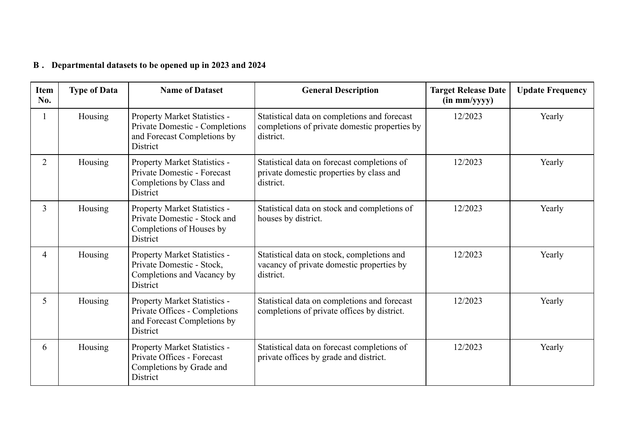#### **Departmental datasets to be opened up in 2023 and 2024 B .**

| <b>Item</b><br>No. | <b>Type of Data</b> | <b>Name of Dataset</b>                                                                                    | <b>General Description</b>                                                                                 | <b>Target Release Date</b><br>$(in \, mm/yyy)$ | <b>Update Frequency</b> |
|--------------------|---------------------|-----------------------------------------------------------------------------------------------------------|------------------------------------------------------------------------------------------------------------|------------------------------------------------|-------------------------|
|                    | Housing             | Property Market Statistics -<br>Private Domestic - Completions<br>and Forecast Completions by<br>District | Statistical data on completions and forecast<br>completions of private domestic properties by<br>district. | 12/2023                                        | Yearly                  |
| $\overline{2}$     | Housing             | Property Market Statistics -<br>Private Domestic - Forecast<br>Completions by Class and<br>District       | Statistical data on forecast completions of<br>private domestic properties by class and<br>district.       | 12/2023                                        | Yearly                  |
| 3                  | Housing             | Property Market Statistics -<br>Private Domestic - Stock and<br>Completions of Houses by<br>District      | Statistical data on stock and completions of<br>houses by district.                                        | 12/2023                                        | Yearly                  |
| $\overline{4}$     | Housing             | Property Market Statistics -<br>Private Domestic - Stock,<br>Completions and Vacancy by<br>District       | Statistical data on stock, completions and<br>vacancy of private domestic properties by<br>district.       | 12/2023                                        | Yearly                  |
| 5                  | Housing             | Property Market Statistics -<br>Private Offices - Completions<br>and Forecast Completions by<br>District  | Statistical data on completions and forecast<br>completions of private offices by district.                | 12/2023                                        | Yearly                  |
| 6                  | Housing             | Property Market Statistics -<br>Private Offices - Forecast<br>Completions by Grade and<br>District        | Statistical data on forecast completions of<br>private offices by grade and district.                      | 12/2023                                        | Yearly                  |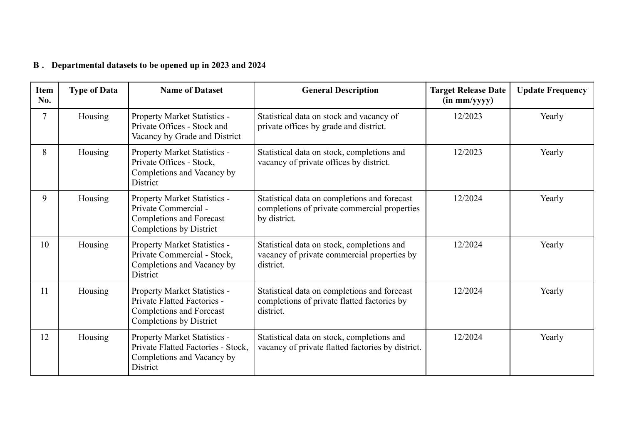#### **Departmental datasets to be opened up in 2023 and 2024 B .**

| <b>Item</b><br>No. | <b>Type of Data</b> | <b>Name of Dataset</b>                                                                                                    | <b>General Description</b>                                                                                   | <b>Target Release Date</b><br>$(in \, mm/yyyy)$ | <b>Update Frequency</b> |
|--------------------|---------------------|---------------------------------------------------------------------------------------------------------------------------|--------------------------------------------------------------------------------------------------------------|-------------------------------------------------|-------------------------|
| $\tau$             | Housing             | Property Market Statistics -<br>Private Offices - Stock and<br>Vacancy by Grade and District                              | Statistical data on stock and vacancy of<br>private offices by grade and district.                           | 12/2023                                         | Yearly                  |
| 8                  | Housing             | Property Market Statistics -<br>Private Offices - Stock,<br>Completions and Vacancy by<br>District                        | Statistical data on stock, completions and<br>vacancy of private offices by district.                        | 12/2023                                         | Yearly                  |
| 9                  | Housing             | Property Market Statistics -<br>Private Commercial -<br><b>Completions and Forecast</b><br>Completions by District        | Statistical data on completions and forecast<br>completions of private commercial properties<br>by district. | 12/2024                                         | Yearly                  |
| 10                 | Housing             | Property Market Statistics -<br>Private Commercial - Stock,<br>Completions and Vacancy by<br>District                     | Statistical data on stock, completions and<br>vacancy of private commercial properties by<br>district.       | 12/2024                                         | Yearly                  |
| 11                 | Housing             | Property Market Statistics -<br>Private Flatted Factories -<br><b>Completions and Forecast</b><br>Completions by District | Statistical data on completions and forecast<br>completions of private flatted factories by<br>district.     | 12/2024                                         | Yearly                  |
| 12                 | Housing             | Property Market Statistics -<br>Private Flatted Factories - Stock,<br>Completions and Vacancy by<br>District              | Statistical data on stock, completions and<br>vacancy of private flatted factories by district.              | 12/2024                                         | Yearly                  |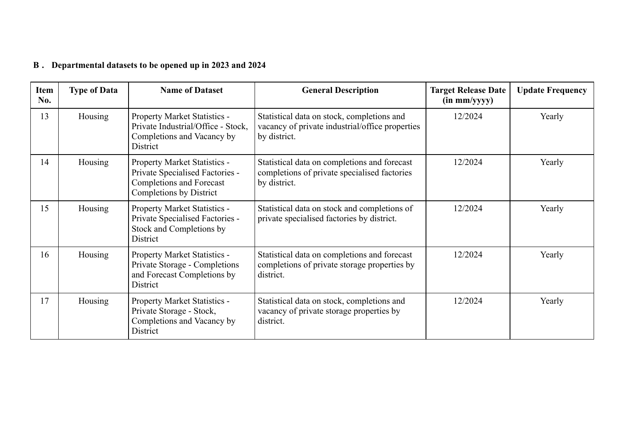#### **Departmental datasets to be opened up in 2023 and 2024 B .**

| <b>Item</b><br>No. | <b>Type of Data</b> | <b>Name of Dataset</b>                                                                                                        | <b>General Description</b>                                                                                    | <b>Target Release Date</b><br>$(in \, mm/yyyy)$ | <b>Update Frequency</b> |
|--------------------|---------------------|-------------------------------------------------------------------------------------------------------------------------------|---------------------------------------------------------------------------------------------------------------|-------------------------------------------------|-------------------------|
| 13                 | Housing             | Property Market Statistics -<br>Private Industrial/Office - Stock,<br>Completions and Vacancy by<br>District                  | Statistical data on stock, completions and<br>vacancy of private industrial/office properties<br>by district. | 12/2024                                         | Yearly                  |
| 14                 | Housing             | Property Market Statistics -<br>Private Specialised Factories -<br><b>Completions and Forecast</b><br>Completions by District | Statistical data on completions and forecast<br>completions of private specialised factories<br>by district.  | 12/2024                                         | Yearly                  |
| 15                 | Housing             | Property Market Statistics -<br>Private Specialised Factories -<br>Stock and Completions by<br>District                       | Statistical data on stock and completions of<br>private specialised factories by district.                    | 12/2024                                         | Yearly                  |
| 16                 | Housing             | Property Market Statistics -<br>Private Storage - Completions<br>and Forecast Completions by<br>District                      | Statistical data on completions and forecast<br>completions of private storage properties by<br>district.     | 12/2024                                         | Yearly                  |
| 17                 | Housing             | Property Market Statistics -<br>Private Storage - Stock,<br>Completions and Vacancy by<br>District                            | Statistical data on stock, completions and<br>vacancy of private storage properties by<br>district.           | 12/2024                                         | Yearly                  |